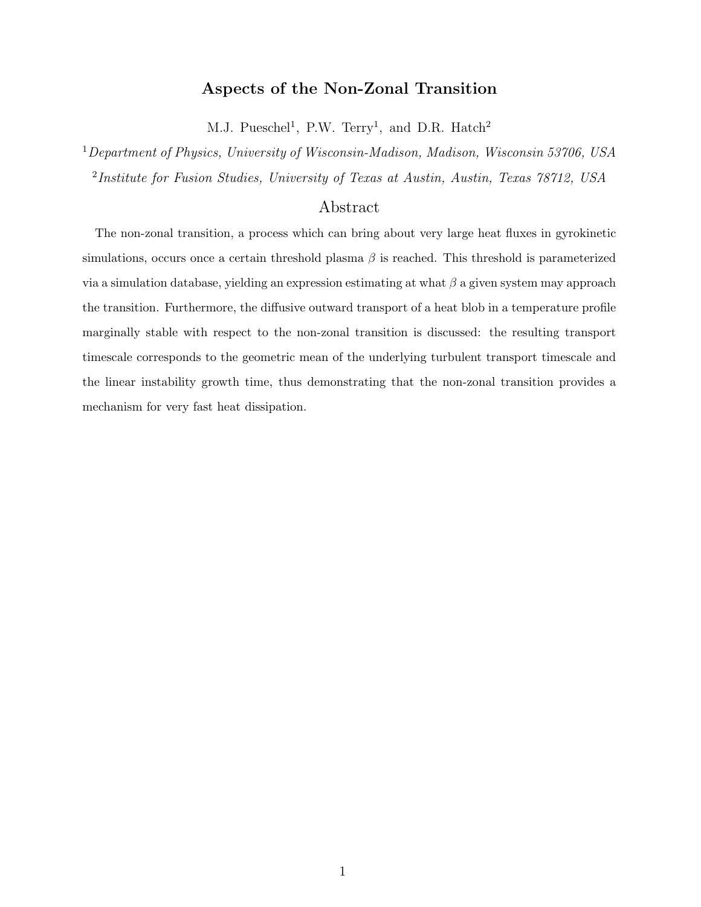# Aspects of the Non-Zonal Transition

M.J. Pueschel<sup>1</sup>, P.W. Terry<sup>1</sup>, and D.R. Hatch<sup>2</sup>

<sup>1</sup>Department of Physics, University of Wisconsin-Madison, Madison, Wisconsin 53706, USA <sup>2</sup>Institute for Fusion Studies, University of Texas at Austin, Austin, Texas 78712, USA

# Abstract

The non-zonal transition, a process which can bring about very large heat fluxes in gyrokinetic simulations, occurs once a certain threshold plasma  $\beta$  is reached. This threshold is parameterized via a simulation database, yielding an expression estimating at what  $\beta$  a given system may approach the transition. Furthermore, the diffusive outward transport of a heat blob in a temperature profile marginally stable with respect to the non-zonal transition is discussed: the resulting transport timescale corresponds to the geometric mean of the underlying turbulent transport timescale and the linear instability growth time, thus demonstrating that the non-zonal transition provides a mechanism for very fast heat dissipation.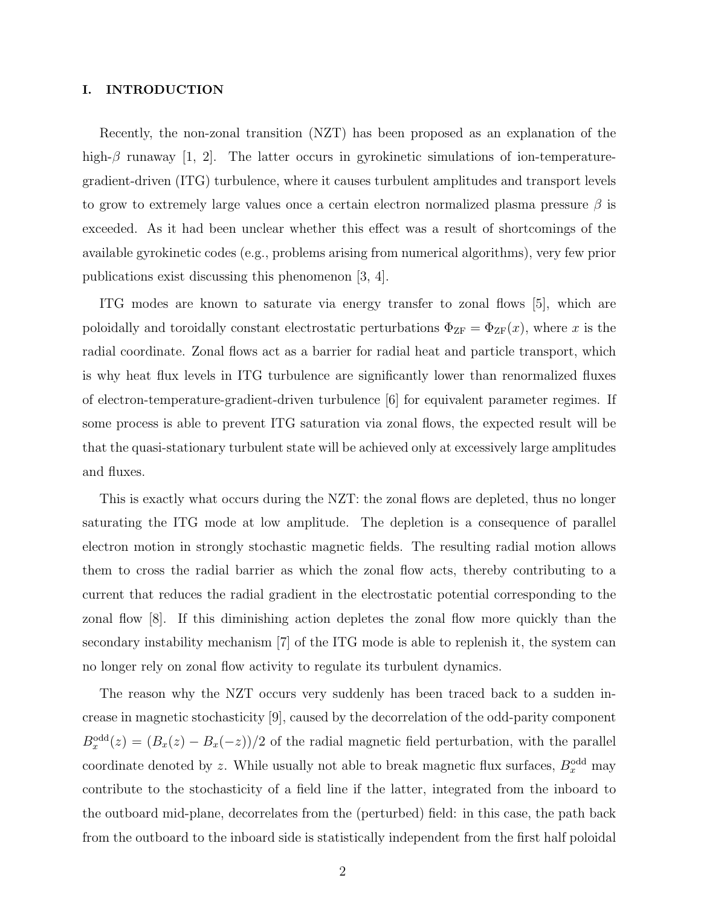# I. INTRODUCTION

Recently, the non-zonal transition (NZT) has been proposed as an explanation of the high- $\beta$  runaway [1, 2]. The latter occurs in gyrokinetic simulations of ion-temperaturegradient-driven (ITG) turbulence, where it causes turbulent amplitudes and transport levels to grow to extremely large values once a certain electron normalized plasma pressure  $\beta$  is exceeded. As it had been unclear whether this effect was a result of shortcomings of the available gyrokinetic codes (e.g., problems arising from numerical algorithms), very few prior publications exist discussing this phenomenon [3, 4].

ITG modes are known to saturate via energy transfer to zonal flows [5], which are poloidally and toroidally constant electrostatic perturbations  $\Phi_{\text{ZF}} = \Phi_{\text{ZF}}(x)$ , where x is the radial coordinate. Zonal flows act as a barrier for radial heat and particle transport, which is why heat flux levels in ITG turbulence are significantly lower than renormalized fluxes of electron-temperature-gradient-driven turbulence [6] for equivalent parameter regimes. If some process is able to prevent ITG saturation via zonal flows, the expected result will be that the quasi-stationary turbulent state will be achieved only at excessively large amplitudes and fluxes.

This is exactly what occurs during the NZT: the zonal flows are depleted, thus no longer saturating the ITG mode at low amplitude. The depletion is a consequence of parallel electron motion in strongly stochastic magnetic fields. The resulting radial motion allows them to cross the radial barrier as which the zonal flow acts, thereby contributing to a current that reduces the radial gradient in the electrostatic potential corresponding to the zonal flow [8]. If this diminishing action depletes the zonal flow more quickly than the secondary instability mechanism [7] of the ITG mode is able to replenish it, the system can no longer rely on zonal flow activity to regulate its turbulent dynamics.

The reason why the NZT occurs very suddenly has been traced back to a sudden increase in magnetic stochasticity [9], caused by the decorrelation of the odd-parity component  $B_x^{\text{odd}}(z) = (B_x(z) - B_x(-z))/2$  of the radial magnetic field perturbation, with the parallel coordinate denoted by z. While usually not able to break magnetic flux surfaces,  $B_x^{\text{odd}}$  may contribute to the stochasticity of a field line if the latter, integrated from the inboard to the outboard mid-plane, decorrelates from the (perturbed) field: in this case, the path back from the outboard to the inboard side is statistically independent from the first half poloidal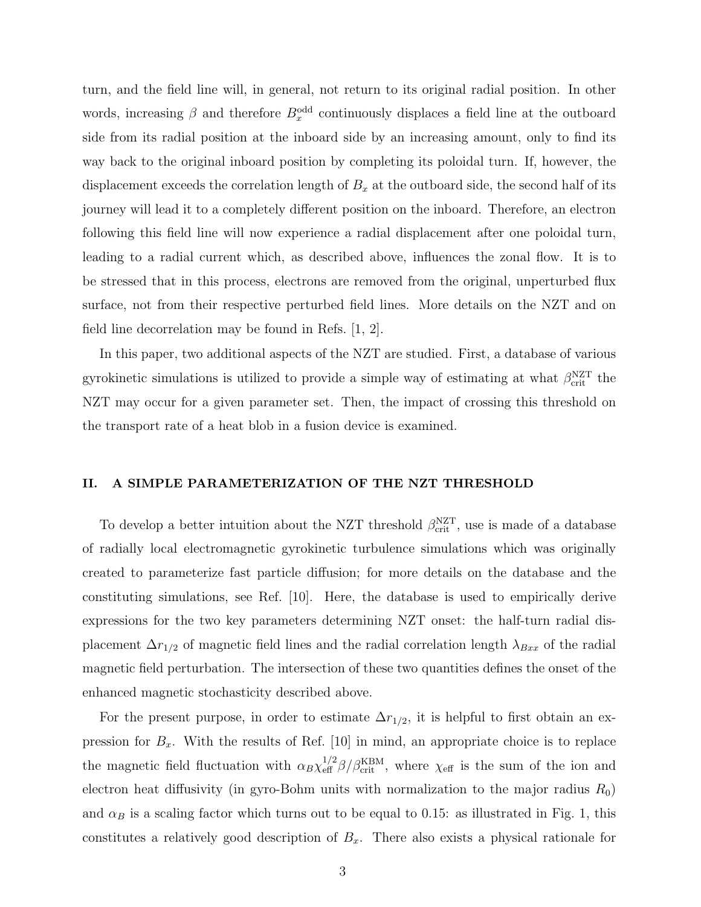turn, and the field line will, in general, not return to its original radial position. In other words, increasing  $\beta$  and therefore  $B_x^{\text{odd}}$  continuously displaces a field line at the outboard side from its radial position at the inboard side by an increasing amount, only to find its way back to the original inboard position by completing its poloidal turn. If, however, the displacement exceeds the correlation length of  $B_x$  at the outboard side, the second half of its journey will lead it to a completely different position on the inboard. Therefore, an electron following this field line will now experience a radial displacement after one poloidal turn, leading to a radial current which, as described above, influences the zonal flow. It is to be stressed that in this process, electrons are removed from the original, unperturbed flux surface, not from their respective perturbed field lines. More details on the NZT and on field line decorrelation may be found in Refs. [1, 2].

In this paper, two additional aspects of the NZT are studied. First, a database of various gyrokinetic simulations is utilized to provide a simple way of estimating at what  $\beta_{\text{crit}}^{\text{NZT}}$  the NZT may occur for a given parameter set. Then, the impact of crossing this threshold on the transport rate of a heat blob in a fusion device is examined.

#### II. A SIMPLE PARAMETERIZATION OF THE NZT THRESHOLD

To develop a better intuition about the NZT threshold  $\beta_{\rm crit}^{\rm NZT}$ , use is made of a database of radially local electromagnetic gyrokinetic turbulence simulations which was originally created to parameterize fast particle diffusion; for more details on the database and the constituting simulations, see Ref. [10]. Here, the database is used to empirically derive expressions for the two key parameters determining NZT onset: the half-turn radial displacement  $\Delta r_{1/2}$  of magnetic field lines and the radial correlation length  $\lambda_{Bxx}$  of the radial magnetic field perturbation. The intersection of these two quantities defines the onset of the enhanced magnetic stochasticity described above.

For the present purpose, in order to estimate  $\Delta r_{1/2}$ , it is helpful to first obtain an expression for  $B_x$ . With the results of Ref. [10] in mind, an appropriate choice is to replace the magnetic field fluctuation with  $\alpha_B \chi_{\text{eff}}^{1/2} \beta / \beta_{\text{crit}}^{\text{KBM}}$ , where  $\chi_{\text{eff}}$  is the sum of the ion and electron heat diffusivity (in gyro-Bohm units with normalization to the major radius  $R_0$ ) and  $\alpha_B$  is a scaling factor which turns out to be equal to 0.15: as illustrated in Fig. 1, this constitutes a relatively good description of  $B_x$ . There also exists a physical rationale for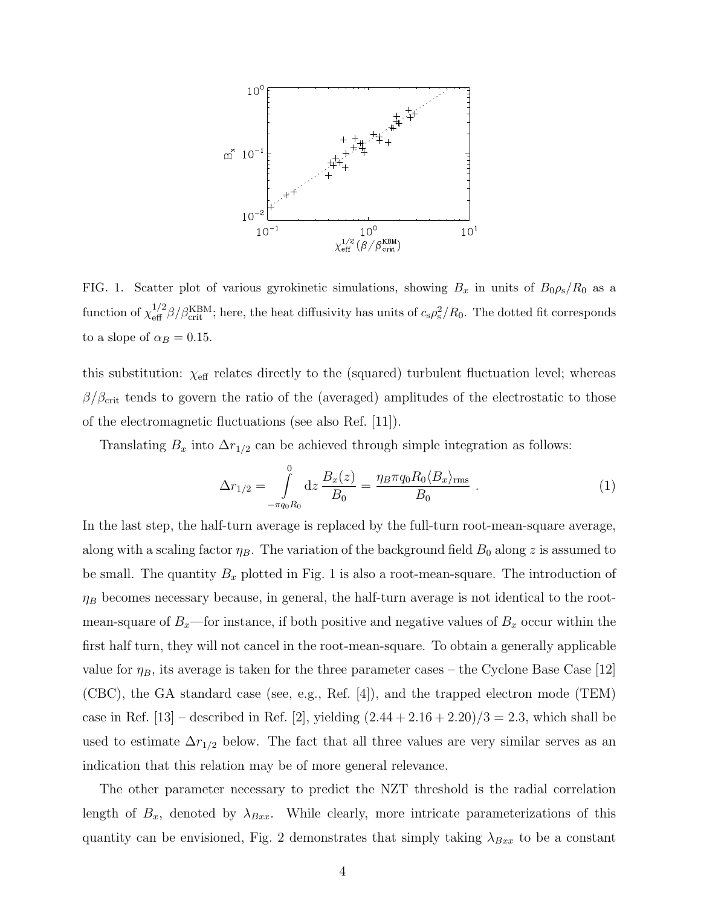

FIG. 1. Scatter plot of various gyrokinetic simulations, showing  $B_x$  in units of  $B_0 \rho_s / R_0$  as a function of  $\chi_{\text{eff}}^{1/2}\beta/\beta_{\text{crit}}^{\text{KBM}}$ ; here, the heat diffusivity has units of  $c_s\rho_s^2/R_0$ . The dotted fit corresponds to a slope of  $\alpha_B = 0.15$ .

this substitution:  $\chi_{\text{eff}}$  relates directly to the (squared) turbulent fluctuation level; whereas  $\beta/\beta_{\rm crit}$  tends to govern the ratio of the (averaged) amplitudes of the electrostatic to those of the electromagnetic fluctuations (see also Ref. [11]).

Translating  $B_x$  into  $\Delta r_{1/2}$  can be achieved through simple integration as follows:

$$
\Delta r_{1/2} = \int_{-\pi q_0 R_0}^{0} dz \frac{B_x(z)}{B_0} = \frac{\eta_B \pi q_0 R_0 \langle B_x \rangle_{\text{rms}}}{B_0} \ . \tag{1}
$$

In the last step, the half-turn average is replaced by the full-turn root-mean-square average, along with a scaling factor  $\eta_B$ . The variation of the background field  $B_0$  along z is assumed to be small. The quantity  $B_x$  plotted in Fig. 1 is also a root-mean-square. The introduction of  $\eta_B$  becomes necessary because, in general, the half-turn average is not identical to the rootmean-square of  $B_x$ —for instance, if both positive and negative values of  $B_x$  occur within the first half turn, they will not cancel in the root-mean-square. To obtain a generally applicable value for  $\eta_B$ , its average is taken for the three parameter cases – the Cyclone Base Case [12] (CBC), the GA standard case (see, e.g., Ref. [4]), and the trapped electron mode (TEM) case in Ref. [13] – described in Ref. [2], yielding  $(2.44 + 2.16 + 2.20)/3 = 2.3$ , which shall be used to estimate  $\Delta r_{1/2}$  below. The fact that all three values are very similar serves as an indication that this relation may be of more general relevance.

The other parameter necessary to predict the NZT threshold is the radial correlation length of  $B_x$ , denoted by  $\lambda_{Bxx}$ . While clearly, more intricate parameterizations of this quantity can be envisioned, Fig. 2 demonstrates that simply taking  $\lambda_{Bxx}$  to be a constant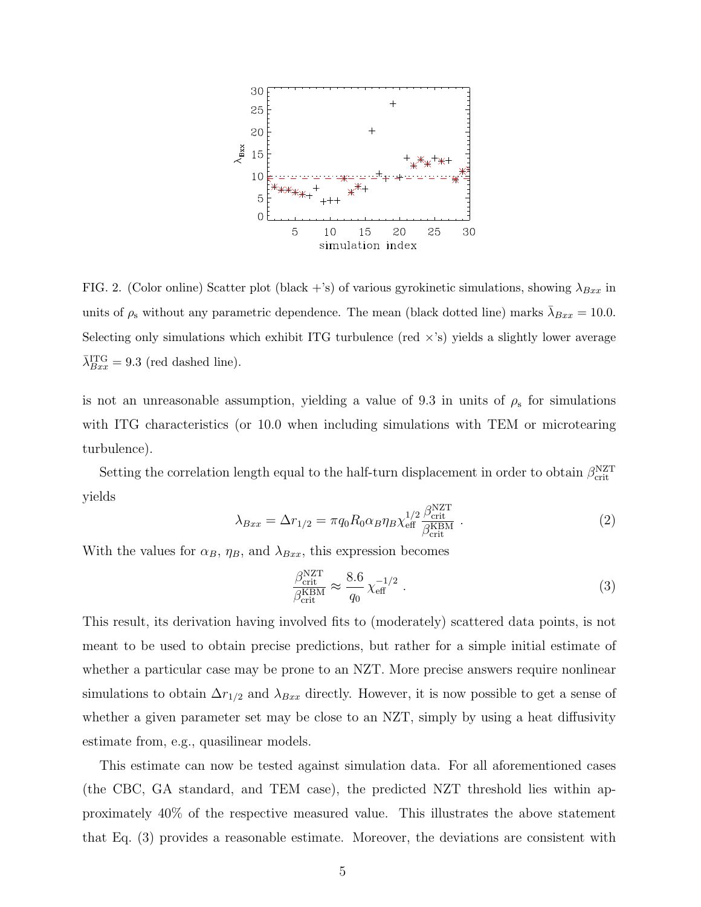

FIG. 2. (Color online) Scatter plot (black +'s) of various gyrokinetic simulations, showing  $\lambda_{Bxx}$  in units of  $\rho_s$  without any parametric dependence. The mean (black dotted line) marks  $\bar{\lambda}_{Bxx} = 10.0$ . Selecting only simulations which exhibit ITG turbulence (red  $\times$ 's) yields a slightly lower average  $\bar{\lambda}_{Bxx}^{\text{ITG}} = 9.3$  (red dashed line).

is not an unreasonable assumption, yielding a value of 9.3 in units of  $\rho_s$  for simulations with ITG characteristics (or 10.0 when including simulations with TEM or microtearing turbulence).

Setting the correlation length equal to the half-turn displacement in order to obtain  $\beta_{\text{crit}}^{\text{NZT}}$ yields n<br>National

$$
\lambda_{Bxx} = \Delta r_{1/2} = \pi q_0 R_0 \alpha_B \eta_B \chi_{\text{eff}}^{1/2} \frac{\beta_{\text{crit}}^{\text{NZT}}}{\beta_{\text{crit}}^{\text{KBM}}} \,. \tag{2}
$$

With the values for  $\alpha_B$ ,  $\eta_B$ , and  $\lambda_{Bxx}$ , this expression becomes

$$
\frac{\beta_{\text{crit}}^{\text{NZT}}}{\beta_{\text{crit}}^{\text{EBM}}} \approx \frac{8.6}{q_0} \chi_{\text{eff}}^{-1/2} . \tag{3}
$$

This result, its derivation having involved fits to (moderately) scattered data points, is not meant to be used to obtain precise predictions, but rather for a simple initial estimate of whether a particular case may be prone to an NZT. More precise answers require nonlinear simulations to obtain  $\Delta r_{1/2}$  and  $\lambda_{Bxx}$  directly. However, it is now possible to get a sense of whether a given parameter set may be close to an NZT, simply by using a heat diffusivity estimate from, e.g., quasilinear models.

This estimate can now be tested against simulation data. For all aforementioned cases (the CBC, GA standard, and TEM case), the predicted NZT threshold lies within approximately 40% of the respective measured value. This illustrates the above statement that Eq. (3) provides a reasonable estimate. Moreover, the deviations are consistent with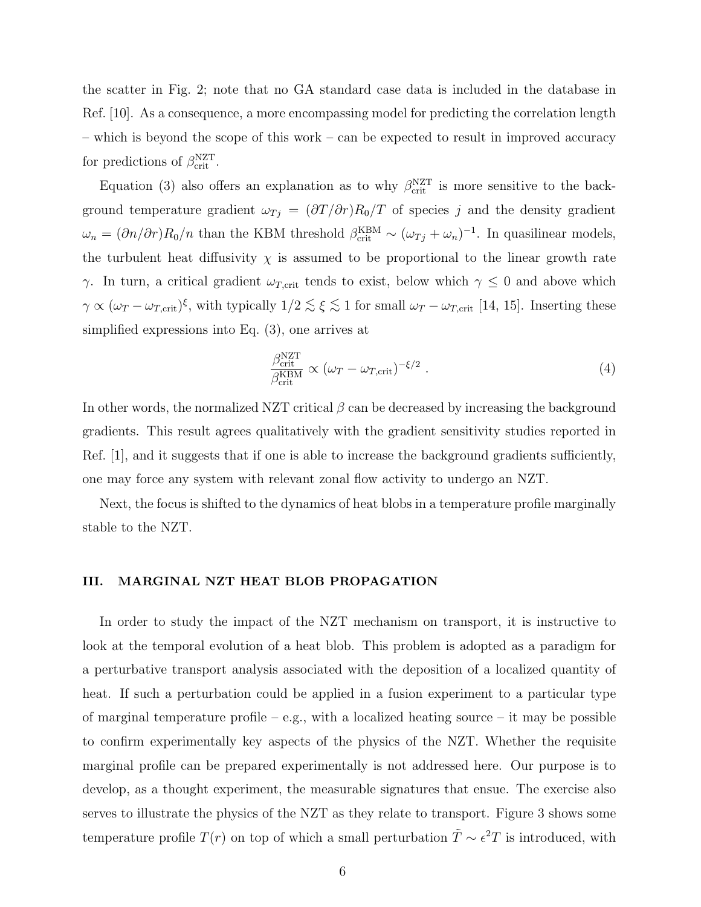the scatter in Fig. 2; note that no GA standard case data is included in the database in Ref. [10]. As a consequence, a more encompassing model for predicting the correlation length – which is beyond the scope of this work – can be expected to result in improved accuracy for predictions of  $\beta_{\text{crit}}^{\text{NZT}}$ .

Equation (3) also offers an explanation as to why  $\beta_{\text{crit}}^{NZT}$  is more sensitive to the background temperature gradient  $\omega_{Tj} = (\partial T/\partial r)R_0/T$  of species j and the density gradient  $\omega_n = (\partial n/\partial r)R_0/n$  than the KBM threshold  $\beta_{\rm crit}^{\rm KBM} \sim (\omega_{Tj} + \omega_n)^{-1}$ . In quasilinear models, the turbulent heat diffusivity  $\chi$  is assumed to be proportional to the linear growth rate γ. In turn, a critical gradient  $ω_{T,\text{crit}}$  tends to exist, below which  $γ ≤ 0$  and above which  $\gamma \propto (\omega_T - \omega_{T,\text{crit}})^{\xi}$ , with typically  $1/2 \lesssim \xi \lesssim 1$  for small  $\omega_T - \omega_{T,\text{crit}}$  [14, 15]. Inserting these simplified expressions into Eq. (3), one arrives at

$$
\frac{\beta_{\text{crit}}^{\text{NZT}}}{\beta_{\text{crit}}^{\text{KBM}}} \propto (\omega_T - \omega_{T,\text{crit}})^{-\xi/2} . \tag{4}
$$

In other words, the normalized NZT critical  $\beta$  can be decreased by increasing the background gradients. This result agrees qualitatively with the gradient sensitivity studies reported in Ref. 1, and it suggests that if one is able to increase the background gradients sufficiently, one may force any system with relevant zonal flow activity to undergo an NZT.

Next, the focus is shifted to the dynamics of heat blobs in a temperature profile marginally stable to the NZT.

#### III. MARGINAL NZT HEAT BLOB PROPAGATION

In order to study the impact of the NZT mechanism on transport, it is instructive to look at the temporal evolution of a heat blob. This problem is adopted as a paradigm for a perturbative transport analysis associated with the deposition of a localized quantity of heat. If such a perturbation could be applied in a fusion experiment to a particular type of marginal temperature profile – e.g., with a localized heating source – it may be possible to confirm experimentally key aspects of the physics of the NZT. Whether the requisite marginal profile can be prepared experimentally is not addressed here. Our purpose is to develop, as a thought experiment, the measurable signatures that ensue. The exercise also serves to illustrate the physics of the NZT as they relate to transport. Figure 3 shows some temperature profile  $T(r)$  on top of which a small perturbation  $\tilde{T} \sim \epsilon^2 T$  is introduced, with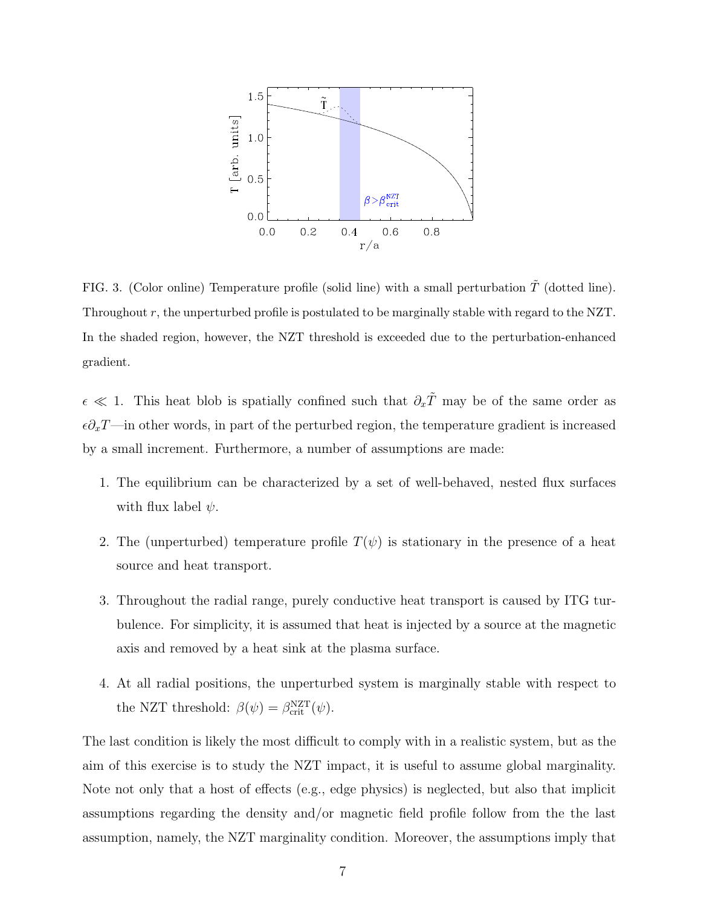

FIG. 3. (Color online) Temperature profile (solid line) with a small perturbation  $\tilde{T}$  (dotted line). Throughout r, the unperturbed profile is postulated to be marginally stable with regard to the NZT. In the shaded region, however, the NZT threshold is exceeded due to the perturbation-enhanced gradient.

 $\epsilon \ll 1$ . This heat blob is spatially confined such that  $\partial_x \tilde{T}$  may be of the same order as  $\epsilon \partial_x T$ —in other words, in part of the perturbed region, the temperature gradient is increased by a small increment. Furthermore, a number of assumptions are made:

- 1. The equilibrium can be characterized by a set of well-behaved, nested flux surfaces with flux label  $\psi$ .
- 2. The (unperturbed) temperature profile  $T(\psi)$  is stationary in the presence of a heat source and heat transport.
- 3. Throughout the radial range, purely conductive heat transport is caused by ITG turbulence. For simplicity, it is assumed that heat is injected by a source at the magnetic axis and removed by a heat sink at the plasma surface.
- 4. At all radial positions, the unperturbed system is marginally stable with respect to the NZT threshold:  $\beta(\psi) = \beta_{\text{crit}}^{\text{NZT}}(\psi)$ .

The last condition is likely the most difficult to comply with in a realistic system, but as the aim of this exercise is to study the NZT impact, it is useful to assume global marginality. Note not only that a host of effects (e.g., edge physics) is neglected, but also that implicit assumptions regarding the density and/or magnetic field profile follow from the the last assumption, namely, the NZT marginality condition. Moreover, the assumptions imply that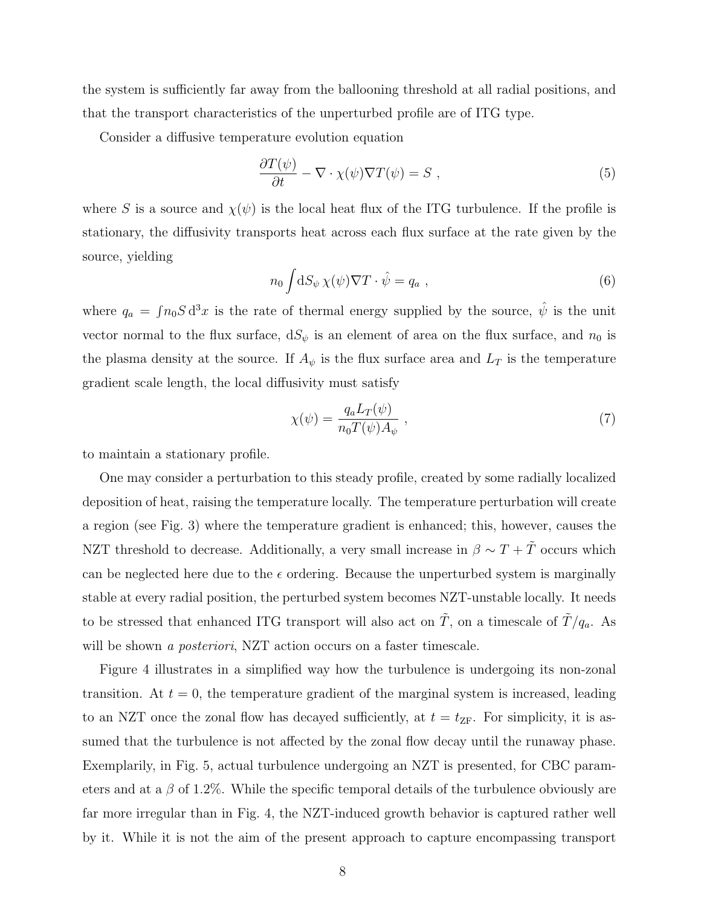the system is sufficiently far away from the ballooning threshold at all radial positions, and that the transport characteristics of the unperturbed profile are of ITG type.

Consider a diffusive temperature evolution equation

$$
\frac{\partial T(\psi)}{\partial t} - \nabla \cdot \chi(\psi) \nabla T(\psi) = S \tag{5}
$$

where S is a source and  $\chi(\psi)$  is the local heat flux of the ITG turbulence. If the profile is stationary, the diffusivity transports heat across each flux surface at the rate given by the source, yielding

$$
n_0 \int \! \mathrm{d}S_\psi \,\chi(\psi)\nabla T \cdot \hat{\psi} = q_a \;, \tag{6}
$$

where  $q_a = \int n_0 S d^3x$  is the rate of thermal energy supplied by the source,  $\hat{\psi}$  is the unit vector normal to the flux surface,  $dS_{\psi}$  is an element of area on the flux surface, and  $n_0$  is the plasma density at the source. If  $A_{\psi}$  is the flux surface area and  $L_T$  is the temperature gradient scale length, the local diffusivity must satisfy

$$
\chi(\psi) = \frac{q_a L_T(\psi)}{n_0 T(\psi) A_{\psi}} \,,\tag{7}
$$

to maintain a stationary profile.

One may consider a perturbation to this steady profile, created by some radially localized deposition of heat, raising the temperature locally. The temperature perturbation will create a region (see Fig. 3) where the temperature gradient is enhanced; this, however, causes the NZT threshold to decrease. Additionally, a very small increase in  $\beta \sim T + \tilde{T}$  occurs which can be neglected here due to the  $\epsilon$  ordering. Because the unperturbed system is marginally stable at every radial position, the perturbed system becomes NZT-unstable locally. It needs to be stressed that enhanced ITG transport will also act on  $\tilde{T}$ , on a timescale of  $\tilde{T}/q_a$ . As will be shown a posteriori, NZT action occurs on a faster timescale.

Figure 4 illustrates in a simplified way how the turbulence is undergoing its non-zonal transition. At  $t = 0$ , the temperature gradient of the marginal system is increased, leading to an NZT once the zonal flow has decayed sufficiently, at  $t = t_{\text{ZF}}$ . For simplicity, it is assumed that the turbulence is not affected by the zonal flow decay until the runaway phase. Exemplarily, in Fig. 5, actual turbulence undergoing an NZT is presented, for CBC parameters and at a  $\beta$  of 1.2%. While the specific temporal details of the turbulence obviously are far more irregular than in Fig. 4, the NZT-induced growth behavior is captured rather well by it. While it is not the aim of the present approach to capture encompassing transport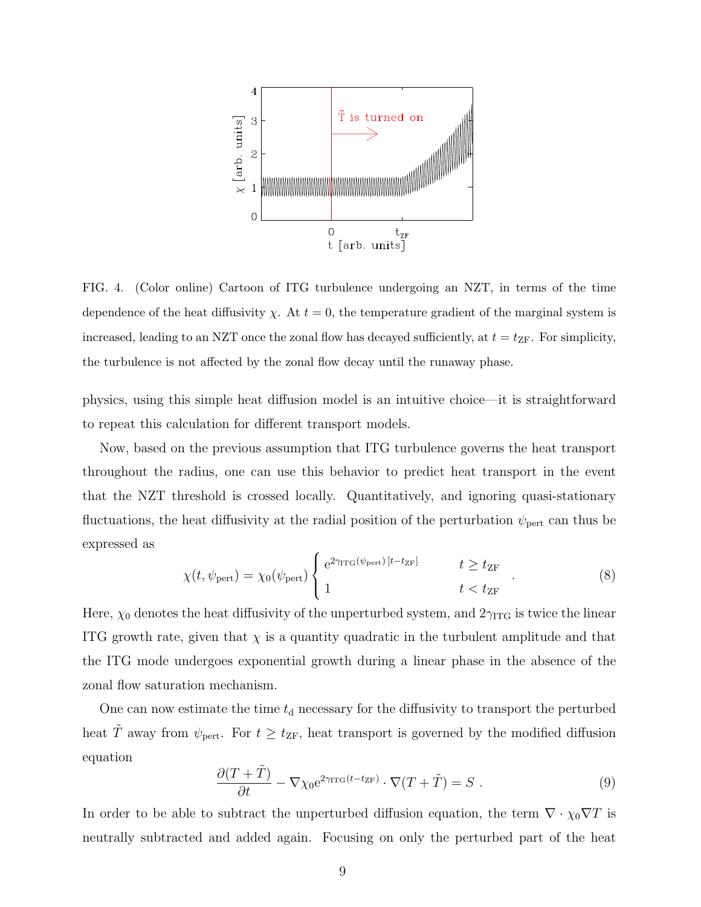

FIG. 4. (Color online) Cartoon of ITG turbulence undergoing an NZT, in terms of the time dependence of the heat diffusivity  $\chi$ . At  $t = 0$ , the temperature gradient of the marginal system is increased, leading to an NZT once the zonal flow has decayed sufficiently, at  $t = t_{\text{ZF}}$ . For simplicity, the turbulence is not affected by the zonal flow decay until the runaway phase.

physics, using this simple heat diffusion model is an intuitive choice—it is straightforward to repeat this calculation for different transport models.

Now, based on the previous assumption that ITG turbulence governs the heat transport throughout the radius, one can use this behavior to predict heat transport in the event that the NZT threshold is crossed locally. Quantitatively, and ignoring quasi-stationary fluctuations, the heat diffusivity at the radial position of the perturbation  $\psi_{\text{pert}}$  can thus be expressed as

$$
\chi(t, \psi_{\text{pert}}) = \chi_0(\psi_{\text{pert}}) \begin{cases} e^{2\gamma_{\text{ITG}}(\psi_{\text{pert}})[t - t_{\text{ZF}}]} & t \ge t_{\text{ZF}} \\ 1 & t < t_{\text{ZF}} \end{cases} \tag{8}
$$

Here,  $\chi_0$  denotes the heat diffusivity of the unperturbed system, and  $2\gamma_{\text{ITG}}$  is twice the linear ITG growth rate, given that  $\chi$  is a quantity quadratic in the turbulent amplitude and that the ITG mode undergoes exponential growth during a linear phase in the absence of the zonal flow saturation mechanism.

One can now estimate the time  $t<sub>d</sub>$  necessary for the diffusivity to transport the perturbed heat  $\tilde{T}$  away from  $\psi_{\text{pert}}$ . For  $t \geq t_{\text{ZF}}$ , heat transport is governed by the modified diffusion equation

$$
\frac{\partial (T + \tilde{T})}{\partial t} - \nabla \chi_0 e^{2\gamma_{\text{ITG}}(t - t_{\text{ZF}})} \cdot \nabla (T + \tilde{T}) = S \ . \tag{9}
$$

In order to be able to subtract the unperturbed diffusion equation, the term  $\nabla \cdot \chi_0 \nabla T$  is neutrally subtracted and added again. Focusing on only the perturbed part of the heat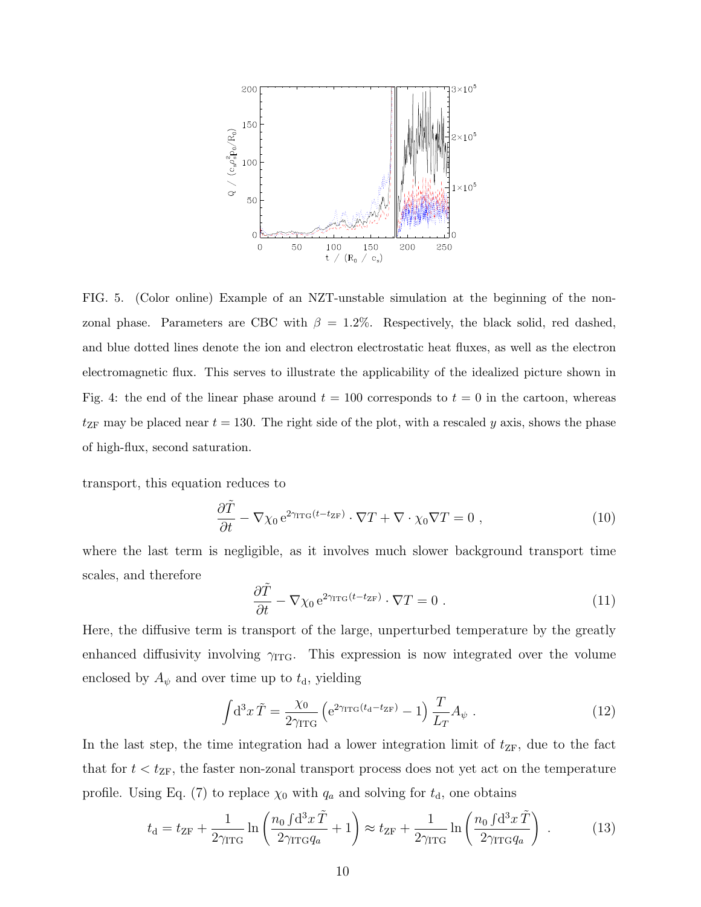

FIG. 5. (Color online) Example of an NZT-unstable simulation at the beginning of the nonzonal phase. Parameters are CBC with  $\beta = 1.2\%$ . Respectively, the black solid, red dashed, and blue dotted lines denote the ion and electron electrostatic heat fluxes, as well as the electron electromagnetic flux. This serves to illustrate the applicability of the idealized picture shown in Fig. 4: the end of the linear phase around  $t = 100$  corresponds to  $t = 0$  in the cartoon, whereas  $t_{ZF}$  may be placed near  $t = 130$ . The right side of the plot, with a rescaled y axis, shows the phase of high-flux, second saturation.

transport, this equation reduces to

$$
\frac{\partial \tilde{T}}{\partial t} - \nabla \chi_0 e^{2\gamma_{\text{ITG}}(t - t_{\text{ZF}})} \cdot \nabla T + \nabla \cdot \chi_0 \nabla T = 0 , \qquad (10)
$$

where the last term is negligible, as it involves much slower background transport time scales, and therefore

$$
\frac{\partial \tilde{T}}{\partial t} - \nabla \chi_0 e^{2\gamma_{\text{ITG}}(t - t_{\text{ZF}})} \cdot \nabla T = 0 \tag{11}
$$

Here, the diffusive term is transport of the large, unperturbed temperature by the greatly enhanced diffusivity involving  $\gamma_{\text{ITG}}$ . This expression is now integrated over the volume enclosed by  $A_{\psi}$  and over time up to  $t_{d}$ , yielding

$$
\int d^3x \,\tilde{T} = \frac{\chi_0}{2\gamma_{\rm ITG}} \left( e^{2\gamma_{\rm ITG}(t_{\rm d}-t_{\rm ZF})} - 1 \right) \frac{T}{L_T} A_\psi \tag{12}
$$

In the last step, the time integration had a lower integration limit of  $t_{ZF}$ , due to the fact that for  $t < t_{\text{ZF}}$ , the faster non-zonal transport process does not yet act on the temperature profile. Using Eq. (7) to replace  $\chi_0$  with  $q_a$  and solving for  $t_d$ , one obtains

$$
t_{\rm d} = t_{\rm ZF} + \frac{1}{2\gamma_{\rm ITG}} \ln\left(\frac{n_0 \int d^3x \, \tilde{T}}{2\gamma_{\rm ITG} q_a} + 1\right) \approx t_{\rm ZF} + \frac{1}{2\gamma_{\rm ITG}} \ln\left(\frac{n_0 \int d^3x \, \tilde{T}}{2\gamma_{\rm ITG} q_a}\right) \,. \tag{13}
$$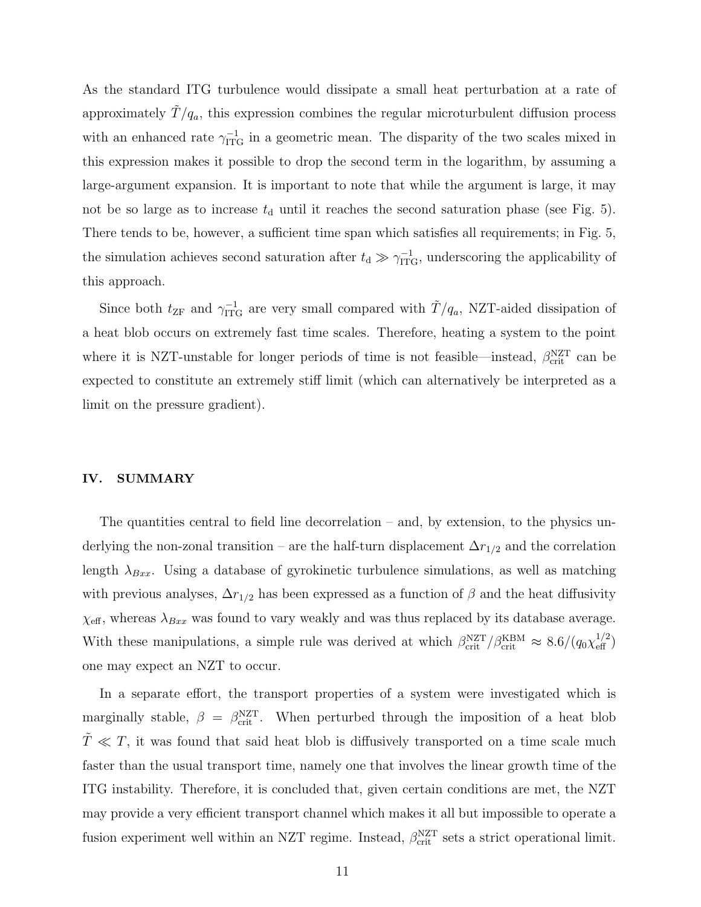As the standard ITG turbulence would dissipate a small heat perturbation at a rate of approximately  $\tilde{T}/q_a$ , this expression combines the regular microturbulent diffusion process with an enhanced rate  $\gamma_{\text{ITG}}^{-1}$  in a geometric mean. The disparity of the two scales mixed in this expression makes it possible to drop the second term in the logarithm, by assuming a large-argument expansion. It is important to note that while the argument is large, it may not be so large as to increase  $t<sub>d</sub>$  until it reaches the second saturation phase (see Fig. 5). There tends to be, however, a sufficient time span which satisfies all requirements; in Fig. 5, the simulation achieves second saturation after  $t_d \gg \gamma_{\rm ITG}^{-1}$ , underscoring the applicability of this approach.

Since both  $t_{\text{ZF}}$  and  $\gamma_{\text{ITG}}^{-1}$  are very small compared with  $\tilde{T}/q_a$ , NZT-aided dissipation of a heat blob occurs on extremely fast time scales. Therefore, heating a system to the point where it is NZT-unstable for longer periods of time is not feasible—instead,  $\beta_{\text{crit}}^{\text{NZT}}$  can be expected to constitute an extremely stiff limit (which can alternatively be interpreted as a limit on the pressure gradient).

# IV. SUMMARY

The quantities central to field line decorrelation – and, by extension, to the physics underlying the non-zonal transition – are the half-turn displacement  $\Delta r_{1/2}$  and the correlation length  $\lambda_{Bxx}$ . Using a database of gyrokinetic turbulence simulations, as well as matching with previous analyses,  $\Delta r_{1/2}$  has been expressed as a function of  $\beta$  and the heat diffusivity  $\chi_{\text{eff}}$ , whereas  $\lambda_{Bxx}$  was found to vary weakly and was thus replaced by its database average. With these manipulations, a simple rule was derived at which  $\beta_{\text{crit}}^{\text{NZT}}/\beta_{\text{crit}}^{\text{KBM}} \approx 8.6/(q_0 \chi_{\text{eff}}^{1/2})$ one may expect an NZT to occur.

In a separate effort, the transport properties of a system were investigated which is marginally stable,  $\beta = \beta_{\text{crit}}^{\text{NZT}}$ . When perturbed through the imposition of a heat blob  $T \ll T$ , it was found that said heat blob is diffusively transported on a time scale much faster than the usual transport time, namely one that involves the linear growth time of the ITG instability. Therefore, it is concluded that, given certain conditions are met, the NZT may provide a very efficient transport channel which makes it all but impossible to operate a fusion experiment well within an NZT regime. Instead,  $\beta_{\text{crit}}^{\text{NZT}}$  sets a strict operational limit.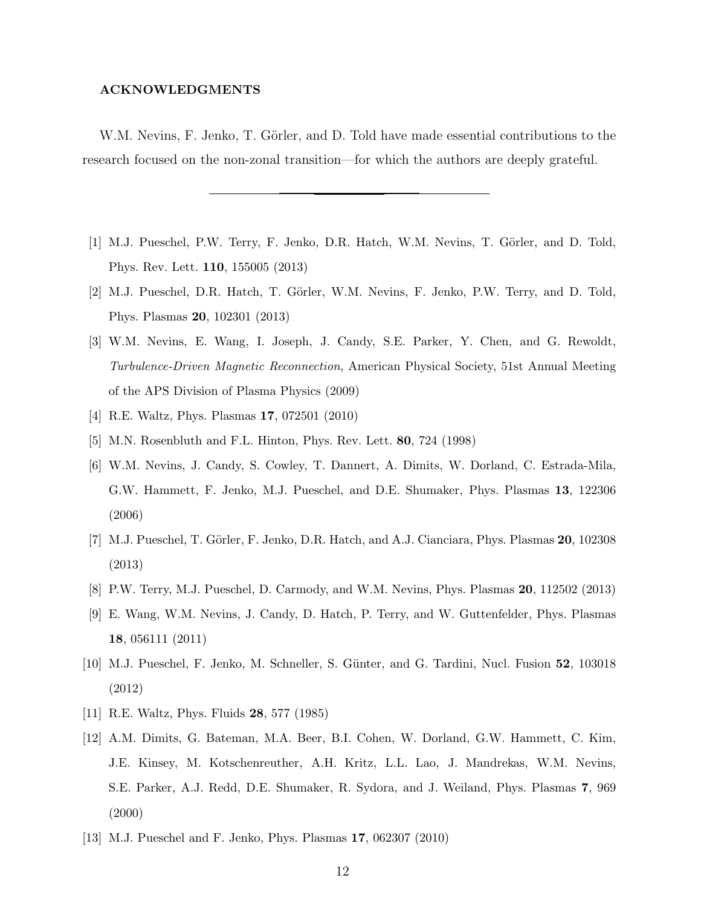# ACKNOWLEDGMENTS

W.M. Nevins, F. Jenko, T. Görler, and D. Told have made essential contributions to the research focused on the non-zonal transition—for which the authors are deeply grateful.

- [1] M.J. Pueschel, P.W. Terry, F. Jenko, D.R. Hatch, W.M. Nevins, T. Görler, and D. Told, Phys. Rev. Lett. 110, 155005 (2013)
- [2] M.J. Pueschel, D.R. Hatch, T. Görler, W.M. Nevins, F. Jenko, P.W. Terry, and D. Told, Phys. Plasmas 20, 102301 (2013)
- [3] W.M. Nevins, E. Wang, I. Joseph, J. Candy, S.E. Parker, Y. Chen, and G. Rewoldt, Turbulence-Driven Magnetic Reconnection, American Physical Society, 51st Annual Meeting of the APS Division of Plasma Physics (2009)
- [4] R.E. Waltz, Phys. Plasmas 17, 072501 (2010)
- [5] M.N. Rosenbluth and F.L. Hinton, Phys. Rev. Lett. 80, 724 (1998)
- [6] W.M. Nevins, J. Candy, S. Cowley, T. Dannert, A. Dimits, W. Dorland, C. Estrada-Mila, G.W. Hammett, F. Jenko, M.J. Pueschel, and D.E. Shumaker, Phys. Plasmas 13, 122306 (2006)
- [7] M.J. Pueschel, T. Görler, F. Jenko, D.R. Hatch, and A.J. Cianciara, Phys. Plasmas 20, 102308 (2013)
- [8] P.W. Terry, M.J. Pueschel, D. Carmody, and W.M. Nevins, Phys. Plasmas 20, 112502 (2013)
- [9] E. Wang, W.M. Nevins, J. Candy, D. Hatch, P. Terry, and W. Guttenfelder, Phys. Plasmas 18, 056111 (2011)
- [10] M.J. Pueschel, F. Jenko, M. Schneller, S. Günter, and G. Tardini, Nucl. Fusion 52, 103018 (2012)
- [11] R.E. Waltz, Phys. Fluids 28, 577 (1985)
- [12] A.M. Dimits, G. Bateman, M.A. Beer, B.I. Cohen, W. Dorland, G.W. Hammett, C. Kim, J.E. Kinsey, M. Kotschenreuther, A.H. Kritz, L.L. Lao, J. Mandrekas, W.M. Nevins, S.E. Parker, A.J. Redd, D.E. Shumaker, R. Sydora, and J. Weiland, Phys. Plasmas 7, 969 (2000)
- [13] M.J. Pueschel and F. Jenko, Phys. Plasmas 17, 062307 (2010)